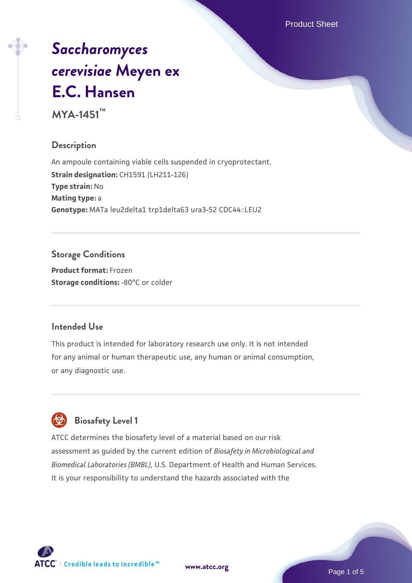Product Sheet

# *[Saccharomyces](https://www.atcc.org/products/mya-1451) [cerevisiae](https://www.atcc.org/products/mya-1451)* **[Meyen ex](https://www.atcc.org/products/mya-1451) [E.C. Hansen](https://www.atcc.org/products/mya-1451)**

**MYA-1451™**

# **Description**

An ampoule containing viable cells suspended in cryoprotectant. **Strain designation:** CH1591 (LH211-126) **Type strain:** No **Mating type:** a **Genotype:** MATa leu2delta1 trp1delta63 ura3-52 CDC44::LEU2

# **Storage Conditions**

**Product format:** Frozen **Storage conditions: -80°C or colder** 

# **Intended Use**

This product is intended for laboratory research use only. It is not intended for any animal or human therapeutic use, any human or animal consumption, or any diagnostic use.

# **Biosafety Level 1**

ATCC determines the biosafety level of a material based on our risk assessment as guided by the current edition of *Biosafety in Microbiological and Biomedical Laboratories (BMBL)*, U.S. Department of Health and Human Services. It is your responsibility to understand the hazards associated with the

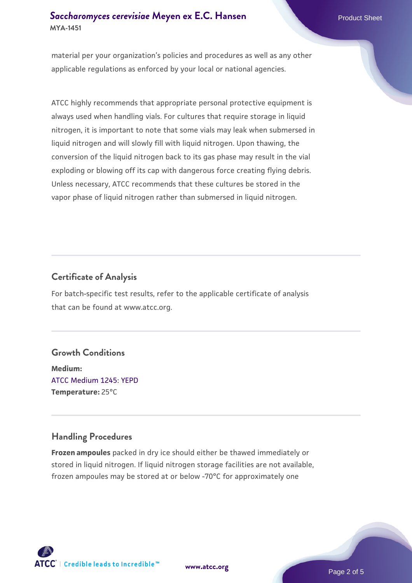## **[Saccharomyces cerevisiae](https://www.atcc.org/products/mya-1451)** [Meyen ex E.C. Hansen](https://www.atcc.org/products/mya-1451) **MYA-1451**

material per your organization's policies and procedures as well as any other applicable regulations as enforced by your local or national agencies.

ATCC highly recommends that appropriate personal protective equipment is always used when handling vials. For cultures that require storage in liquid nitrogen, it is important to note that some vials may leak when submersed in liquid nitrogen and will slowly fill with liquid nitrogen. Upon thawing, the conversion of the liquid nitrogen back to its gas phase may result in the vial exploding or blowing off its cap with dangerous force creating flying debris. Unless necessary, ATCC recommends that these cultures be stored in the vapor phase of liquid nitrogen rather than submersed in liquid nitrogen.

# **Certificate of Analysis**

For batch-specific test results, refer to the applicable certificate of analysis that can be found at www.atcc.org.

#### **Growth Conditions**

**Medium:**  [ATCC Medium 1245: YEPD](https://www.atcc.org/-/media/product-assets/documents/microbial-media-formulations/1/2/4/5/atcc-medium-1245.pdf?rev=705ca55d1b6f490a808a965d5c072196) **Temperature:** 25°C

# **Handling Procedures**

**Frozen ampoules** packed in dry ice should either be thawed immediately or stored in liquid nitrogen. If liquid nitrogen storage facilities are not available, frozen ampoules may be stored at or below -70°C for approximately one





Page 2 of 5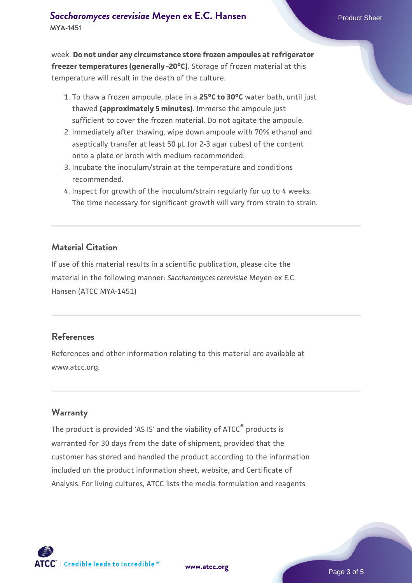week. **Do not under any circumstance store frozen ampoules at refrigerator freezer temperatures (generally -20°C)**. Storage of frozen material at this temperature will result in the death of the culture.

- 1. To thaw a frozen ampoule, place in a **25°C to 30°C** water bath, until just thawed **(approximately 5 minutes)**. Immerse the ampoule just sufficient to cover the frozen material. Do not agitate the ampoule.
- 2. Immediately after thawing, wipe down ampoule with 70% ethanol and aseptically transfer at least 50 µL (or 2-3 agar cubes) of the content onto a plate or broth with medium recommended.
- Incubate the inoculum/strain at the temperature and conditions 3. recommended.
- 4. Inspect for growth of the inoculum/strain regularly for up to 4 weeks. The time necessary for significant growth will vary from strain to strain.

#### **Material Citation**

If use of this material results in a scientific publication, please cite the material in the following manner: *Saccharomyces cerevisiae* Meyen ex E.C. Hansen (ATCC MYA-1451)

#### **References**

References and other information relating to this material are available at www.atcc.org.

#### **Warranty**

The product is provided 'AS IS' and the viability of ATCC® products is warranted for 30 days from the date of shipment, provided that the customer has stored and handled the product according to the information included on the product information sheet, website, and Certificate of Analysis. For living cultures, ATCC lists the media formulation and reagents

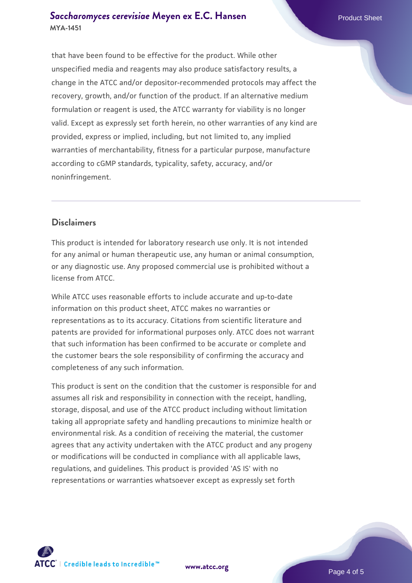#### **[Saccharomyces cerevisiae](https://www.atcc.org/products/mya-1451)** [Meyen ex E.C. Hansen](https://www.atcc.org/products/mya-1451) **MYA-1451**

that have been found to be effective for the product. While other unspecified media and reagents may also produce satisfactory results, a change in the ATCC and/or depositor-recommended protocols may affect the recovery, growth, and/or function of the product. If an alternative medium formulation or reagent is used, the ATCC warranty for viability is no longer valid. Except as expressly set forth herein, no other warranties of any kind are provided, express or implied, including, but not limited to, any implied warranties of merchantability, fitness for a particular purpose, manufacture according to cGMP standards, typicality, safety, accuracy, and/or noninfringement.

## **Disclaimers**

This product is intended for laboratory research use only. It is not intended for any animal or human therapeutic use, any human or animal consumption, or any diagnostic use. Any proposed commercial use is prohibited without a license from ATCC.

While ATCC uses reasonable efforts to include accurate and up-to-date information on this product sheet, ATCC makes no warranties or representations as to its accuracy. Citations from scientific literature and patents are provided for informational purposes only. ATCC does not warrant that such information has been confirmed to be accurate or complete and the customer bears the sole responsibility of confirming the accuracy and completeness of any such information.

This product is sent on the condition that the customer is responsible for and assumes all risk and responsibility in connection with the receipt, handling, storage, disposal, and use of the ATCC product including without limitation taking all appropriate safety and handling precautions to minimize health or environmental risk. As a condition of receiving the material, the customer agrees that any activity undertaken with the ATCC product and any progeny or modifications will be conducted in compliance with all applicable laws, regulations, and guidelines. This product is provided 'AS IS' with no representations or warranties whatsoever except as expressly set forth



**[www.atcc.org](http://www.atcc.org)**

Page 4 of 5